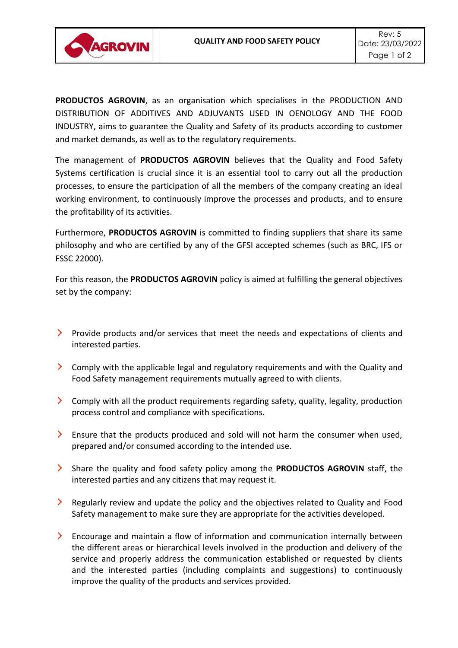

**PRODUCTOS AGROVIN**, as an organisation which specialises in the PRODUCTION AND DISTRIBUTION OF ADDITIVES AND ADJUVANTS USED IN OENOLOGY AND THE FOOD INDUSTRY, aims to guarantee the Quality and Safety of its products according to customer and market demands, as well as to the regulatory requirements.

The management of **PRODUCTOS AGROVIN** believes that the Quality and Food Safety Systems certification is crucial since it is an essential tool to carry out all the production processes, to ensure the participation of all the members of the company creating an ideal working environment, to continuously improve the processes and products, and to ensure the profitability of its activities.

Furthermore, **PRODUCTOS AGROVIN** is committed to finding suppliers that share its same philosophy and who are certified by any of the GFSI accepted schemes (such as BRC, IFS or FSSC 22000).

For this reason, the **PRODUCTOS AGROVIN** policy is aimed at fulfilling the general objectives set by the company:

- Provide products and/or services that meet the needs and expectations of clients and interested parties.
- Comply with the applicable legal and regulatory requirements and with the Quality and Food Safety management requirements mutually agreed to with clients.
- Comply with all the product requirements regarding safety, quality, legality, production process control and compliance with specifications.
- Ensure that the products produced and sold will not harm the consumer when used, prepared and/or consumed according to the intended use.
- Share the quality and food safety policy among the **PRODUCTOS AGROVIN** staff, the interested parties and any citizens that may request it.
- Regularly review and update the policy and the objectives related to Quality and Food Safety management to make sure they are appropriate for the activities developed.
- Encourage and maintain a flow of information and communication internally between the different areas or hierarchical levels involved in the production and delivery of the service and properly address the communication established or requested by clients and the interested parties (including complaints and suggestions) to continuously improve the quality of the products and services provided.